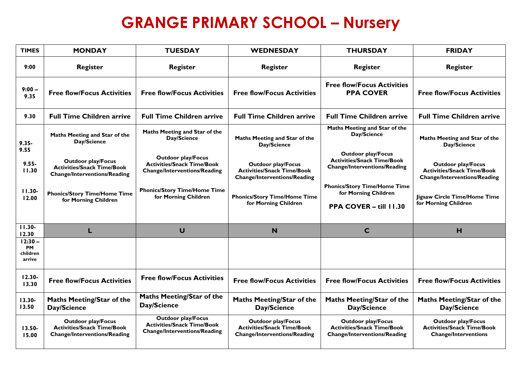## **GRANGE PRIMARY SCHOOL - Nursery**

| <b>TIMES</b>                                 | <b>MONDAY</b>                                                                                         | <b>TUESDAY</b>                                                                                        | <b>WEDNESDAY</b>                                                                                      | <b>THURSDAY</b>                                                                                       | <b>FRIDAY</b>                                                                                         |
|----------------------------------------------|-------------------------------------------------------------------------------------------------------|-------------------------------------------------------------------------------------------------------|-------------------------------------------------------------------------------------------------------|-------------------------------------------------------------------------------------------------------|-------------------------------------------------------------------------------------------------------|
| 9:00                                         | <b>Register</b>                                                                                       | <b>Register</b>                                                                                       | <b>Register</b>                                                                                       | <b>Register</b>                                                                                       | <b>Register</b>                                                                                       |
| $9:00 -$<br>9.35                             | <b>Free flow/Focus Activities</b>                                                                     | <b>Free flow/Focus Activities</b>                                                                     | <b>Free flow/Focus Activities</b>                                                                     | <b>Free flow/Focus Activities</b><br><b>PPA COVER</b>                                                 | <b>Free flow/Focus Activities</b>                                                                     |
| 9.30                                         | <b>Full Time Children arrive</b>                                                                      | <b>Full Time Children arrive</b>                                                                      | <b>Full Time Children arrive</b>                                                                      | <b>Full Time Children arrive</b>                                                                      | <b>Full Time Children arrive</b>                                                                      |
| $9.35 -$<br>9.55                             | Maths Meeting and Star of the<br>Day/Science                                                          | Maths Meeting and Star of the<br>Day/Science                                                          | Maths Meeting and Star of the<br>Day/Science                                                          | Maths Meeting and Star of the<br>Day/Science                                                          | Maths Meeting and Star of the<br>Day/Science                                                          |
| $9.55 -$<br>11.30                            | <b>Outdoor play/Focus</b><br><b>Activities/Snack Time/Book</b><br><b>Change/Interventions/Reading</b> | <b>Outdoor play/Focus</b><br><b>Activities/Snack Time/Book</b><br><b>Change/Interventions/Reading</b> | <b>Outdoor play/Focus</b><br><b>Activities/Snack Time/Book</b><br><b>Change/Interventions/Reading</b> | <b>Outdoor play/Focus</b><br><b>Activities/Snack Time/Book</b><br><b>Change/Interventions/Reading</b> | <b>Outdoor play/Focus</b><br><b>Activities/Snack Time/Book</b><br><b>Change/Interventions/Reading</b> |
| $11.30 -$<br>12.00                           | <b>Phonics/Story Time/Home Time</b><br>for Morning Children                                           | <b>Phonics/Story Time/Home Time</b><br>for Morning Children                                           | <b>Phonics/Story Time/Home Time</b><br>for Morning Children                                           | <b>Phonics/Story Time/Home Time</b><br>for Morning Children<br>PPA COVER - till 11.30                 | Jigsaw Circle Time/Home Time<br>for Morning Children                                                  |
| $11.30 -$<br>12.30                           | L                                                                                                     | $\cup$                                                                                                | N                                                                                                     | $\mathbf C$                                                                                           | H                                                                                                     |
| $12:30 -$<br><b>PM</b><br>children<br>arrive |                                                                                                       |                                                                                                       |                                                                                                       |                                                                                                       |                                                                                                       |
| $12.30 -$<br>13.30                           | <b>Free flow/Focus Activities</b>                                                                     | <b>Free flow/Focus Activities</b>                                                                     | <b>Free flow/Focus Activities</b>                                                                     | <b>Free flow/Focus Activities</b>                                                                     | <b>Free flow/Focus Activities</b>                                                                     |
| 13.30-<br>13.50                              | Maths Meeting/Star of the<br>Day/Science                                                              | <b>Maths Meeting/Star of the</b><br>Day/Science                                                       | <b>Maths Meeting/Star of the</b><br>Day/Science                                                       | <b>Maths Meeting/Star of the</b><br>Day/Science                                                       | <b>Maths Meeting/Star of the</b><br>Day/Science                                                       |
| 13.50-<br>15.00                              | <b>Outdoor play/Focus</b><br><b>Activities/Snack Time/Book</b><br><b>Change/Interventions/Reading</b> | <b>Outdoor play/Focus</b><br><b>Activities/Snack Time/Book</b><br><b>Change/Interventions/Reading</b> | <b>Outdoor play/Focus</b><br><b>Activities/Snack Time/Book</b><br><b>Change/Interventions/Reading</b> | <b>Outdoor play/Focus</b><br><b>Activities/Snack Time/Book</b><br><b>Change/Interventions/Reading</b> | <b>Outdoor play/Focus</b><br><b>Activities/Snack Time/Book</b><br><b>Change/Interventions</b>         |